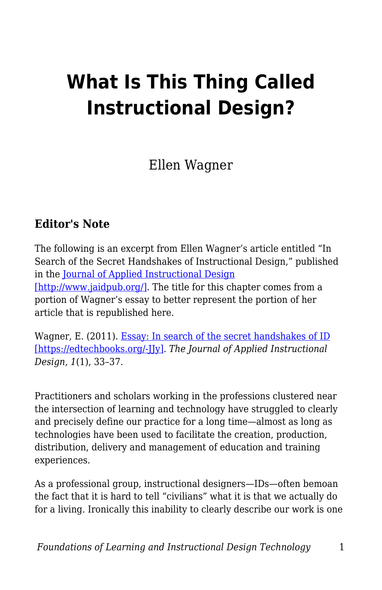## **What Is This Thing Called Instructional Design?**

Ellen Wagner

## **Editor's Note**

The following is an excerpt from Ellen Wagner's article entitled "In Search of the Secret Handshakes of Instructional Design," published in the [Journal of Applied Instructional Design](http://www.jaidpub.org/) [\[http://www.jaidpub.org/\]](http://www.jaidpub.org/). The title for this chapter comes from a portion of Wagner's essay to better represent the portion of her article that is republished here.

Wagner, E. (2011). [Essay: In search of the secret handshakes of ID](https://www.jaid.pub/vol-1-issue-2011) [\[https://edtechbooks.org/-JJy\].](https://www.jaid.pub/vol-1-issue-2011) *The Journal of Applied Instructional Design, 1*(1), 33–37.

Practitioners and scholars working in the professions clustered near the intersection of learning and technology have struggled to clearly and precisely define our practice for a long time—almost as long as technologies have been used to facilitate the creation, production, distribution, delivery and management of education and training experiences.

As a professional group, instructional designers—IDs—often bemoan the fact that it is hard to tell "civilians" what it is that we actually do for a living. Ironically this inability to clearly describe our work is one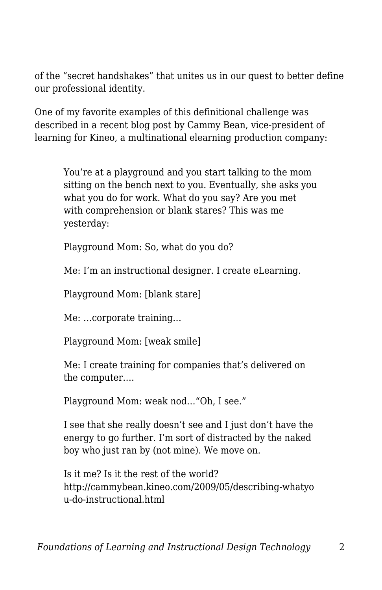of the "secret handshakes" that unites us in our quest to better define our professional identity.

One of my favorite examples of this definitional challenge was described in a recent blog post by Cammy Bean, vice-president of learning for Kineo, a multinational elearning production company:

You're at a playground and you start talking to the mom sitting on the bench next to you. Eventually, she asks you what you do for work. What do you say? Are you met with comprehension or blank stares? This was me yesterday:

Playground Mom: So, what do you do?

Me: I'm an instructional designer. I create eLearning.

Playground Mom: [blank stare]

Me: …corporate training…

Playground Mom: [weak smile]

Me: I create training for companies that's delivered on the computer….

Playground Mom: weak nod…"Oh, I see."

I see that she really doesn't see and I just don't have the energy to go further. I'm sort of distracted by the naked boy who just ran by (not mine). We move on.

Is it me? Is it the rest of the world? http://cammybean.kineo.com/2009/05/describing-whatyo u-do-instructional.html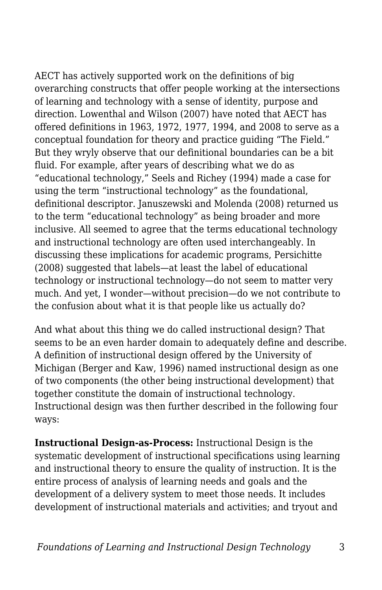AECT has actively supported work on the definitions of big overarching constructs that offer people working at the intersections of learning and technology with a sense of identity, purpose and direction. Lowenthal and Wilson (2007) have noted that AECT has offered definitions in 1963, 1972, 1977, 1994, and 2008 to serve as a conceptual foundation for theory and practice guiding "The Field." But they wryly observe that our definitional boundaries can be a bit fluid. For example, after years of describing what we do as "educational technology," Seels and Richey (1994) made a case for using the term "instructional technology" as the foundational, definitional descriptor. Januszewski and Molenda (2008) returned us to the term "educational technology" as being broader and more inclusive. All seemed to agree that the terms educational technology and instructional technology are often used interchangeably. In discussing these implications for academic programs, Persichitte (2008) suggested that labels—at least the label of educational technology or instructional technology—do not seem to matter very much. And yet, I wonder—without precision—do we not contribute to the confusion about what it is that people like us actually do?

And what about this thing we do called instructional design? That seems to be an even harder domain to adequately define and describe. A definition of instructional design offered by the University of Michigan (Berger and Kaw, 1996) named instructional design as one of two components (the other being instructional development) that together constitute the domain of instructional technology. Instructional design was then further described in the following four ways:

**Instructional Design-as-Process:** Instructional Design is the systematic development of instructional specifications using learning and instructional theory to ensure the quality of instruction. It is the entire process of analysis of learning needs and goals and the development of a delivery system to meet those needs. It includes development of instructional materials and activities; and tryout and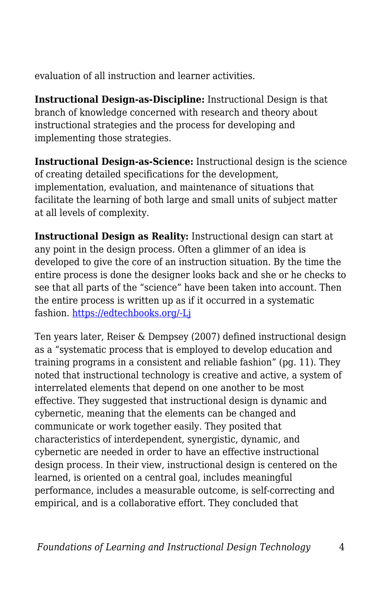evaluation of all instruction and learner activities.

**Instructional Design-as-Discipline:** Instructional Design is that branch of knowledge concerned with research and theory about instructional strategies and the process for developing and implementing those strategies.

**Instructional Design-as-Science:** Instructional design is the science of creating detailed specifications for the development, implementation, evaluation, and maintenance of situations that facilitate the learning of both large and small units of subject matter at all levels of complexity.

**Instructional Design as Reality:** Instructional design can start at any point in the design process. Often a glimmer of an idea is developed to give the core of an instruction situation. By the time the entire process is done the designer looks back and she or he checks to see that all parts of the "science" have been taken into account. Then the entire process is written up as if it occurred in a systematic fashion. [https://edtechbooks.org/-Lj](http://www.umich.edu/~ed626/define.html)

Ten years later, Reiser & Dempsey (2007) defined instructional design as a "systematic process that is employed to develop education and training programs in a consistent and reliable fashion" (pg. 11). They noted that instructional technology is creative and active, a system of interrelated elements that depend on one another to be most effective. They suggested that instructional design is dynamic and cybernetic, meaning that the elements can be changed and communicate or work together easily. They posited that characteristics of interdependent, synergistic, dynamic, and cybernetic are needed in order to have an effective instructional design process. In their view, instructional design is centered on the learned, is oriented on a central goal, includes meaningful performance, includes a measurable outcome, is self-correcting and empirical, and is a collaborative effort. They concluded that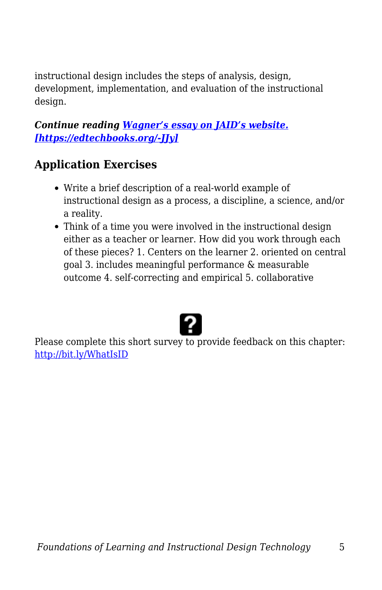instructional design includes the steps of analysis, design, development, implementation, and evaluation of the instructional design.

## *Continue reading [Wagner's essay on JAID's website.](https://www.jaid.pub/vol-1-issue-2011) [\[https://edtechbooks.org/-JJy\]](https://www.jaid.pub/vol-1-issue-2011)*

## **Application Exercises**

- Write a brief description of a real-world example of instructional design as a process, a discipline, a science, and/or a reality.
- Think of a time you were involved in the instructional design either as a teacher or learner. How did you work through each of these pieces? 1. Centers on the learner 2. oriented on central goal 3. includes meaningful performance & measurable outcome 4. self-correcting and empirical 5. collaborative



Please complete this short survey to provide feedback on this chapter: <http://bit.ly/WhatIsID>